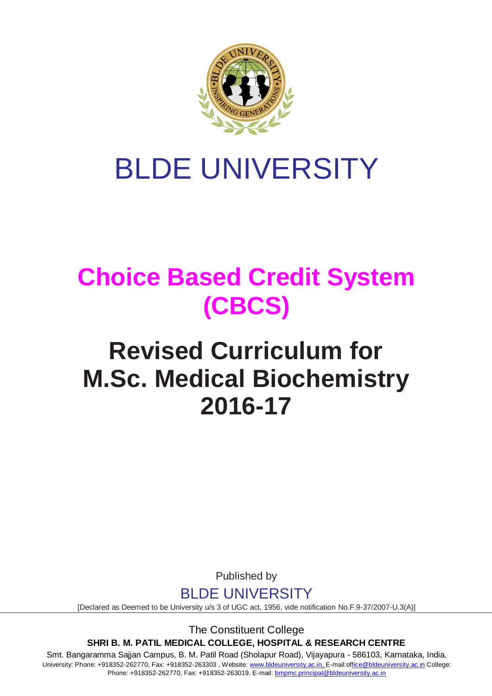

# BLDE UNIVERSITY

## **Choice Based Credit System (CBCS)**

## **Revised Curriculum for M.Sc. Medical Biochemistry 2016-17**

Published by

BLDE UNIVERSITY

[Declared as Deemed to be University u/s 3 of UGC act, 1956, vide notification No.F.9-37/2007-U.3(A)]

The Constituent College **SHRI B. M. PATIL MEDICAL COLLEGE, HOSPITAL & RESEARCH CENTRE**

Smt. Bangaramma Sajjan Campus, B. M. Patil Road (Sholapur Road), Vijayapura - 586103, Karnataka, India. University: Phone: +918352-262770, Fax: +918352-263303, Website: www.bldeuniversity.ac.in, [E-mail:office@bldeuniversity.ac.in](mailto:office@bldedu.ac.in) College: Phone: +918352-262770, Fax: +918352-263019, E-mail: [bmpmc.principal@bldeuniversity.ac.in](mailto:bmpmc.principal@bldeuniversity.ac.in)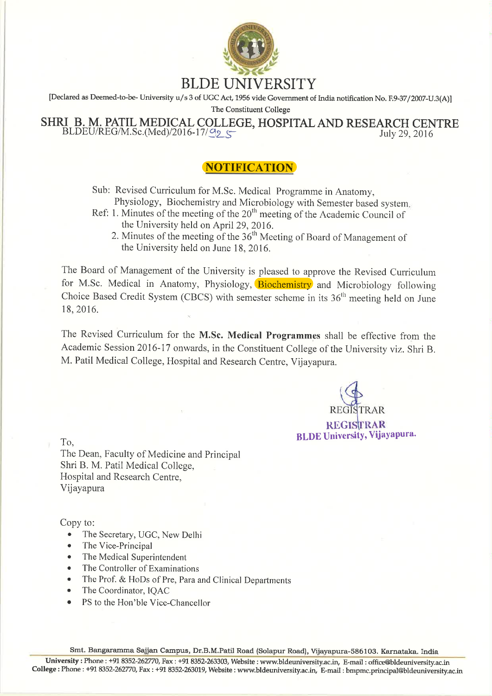

[Declared as Deemed-to-be-University u/s 3 of UGC Act, 1956 vide Government of India notification No. F.9-37/2007-U.3(A)]

The Constituent College

SHRI B. M. PATIL MEDICAL COLLEGE, HOSPITAL AND RESEARCH CENTRE  $BLDEU/REG/M.Sc.(Med)/2016-17/\Omega_2$ July 29, 2016

## **NOTIFICATION**

Sub: Revised Curriculum for M.Sc. Medical Programme in Anatomy, Physiology, Biochemistry and Microbiology with Semester based system.

- Ref: 1. Minutes of the meeting of the  $20<sup>th</sup>$  meeting of the Academic Council of the University held on April 29, 2016.
	- 2. Minutes of the meeting of the 36<sup>th</sup> Meeting of Board of Management of the University held on June 18, 2016.

The Board of Management of the University is pleased to approve the Revised Curriculum for M.Sc. Medical in Anatomy, Physiology, Biochemistry and Microbiology following Choice Based Credit System (CBCS) with semester scheme in its  $36<sup>th</sup>$  meeting held on June 18, 2016.

The Revised Curriculum for the M.Sc. Medical Programmes shall be effective from the Academic Session 2016-17 onwards, in the Constituent College of the University viz. Shri B. M. Patil Medical College, Hospital and Research Centre, Vijayapura.

**REGISTRAR BLDE University, Vijayapura.** 

To.

The Dean, Faculty of Medicine and Principal Shri B. M. Patil Medical College, Hospital and Research Centre. Vijayapura

Copy to:

- The Secretary, UGC, New Delhi  $\bullet$
- The Vice-Principal
- The Medical Superintendent
- The Controller of Examinations
- The Prof. & HoDs of Pre, Para and Clinical Departments
- The Coordinator, IQAC
- PS to the Hon'ble Vice-Chancellor

Smt. Bangaramma Sajjan Campus, Dr.B.M.Patil Road (Solapur Road), Vijayapura-586103. Karnataka. India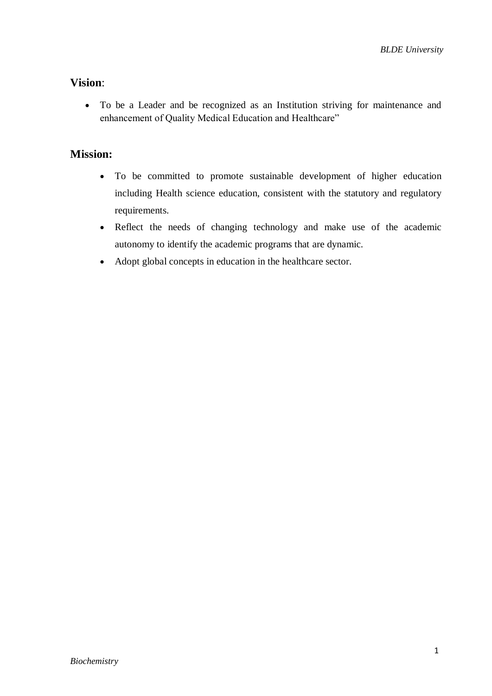## **Vision**:

 To be a Leader and be recognized as an Institution striving for maintenance and enhancement of Quality Medical Education and Healthcare"

## **Mission:**

- To be committed to promote sustainable development of higher education including Health science education, consistent with the statutory and regulatory requirements.
- Reflect the needs of changing technology and make use of the academic autonomy to identify the academic programs that are dynamic.
- Adopt global concepts in education in the healthcare sector.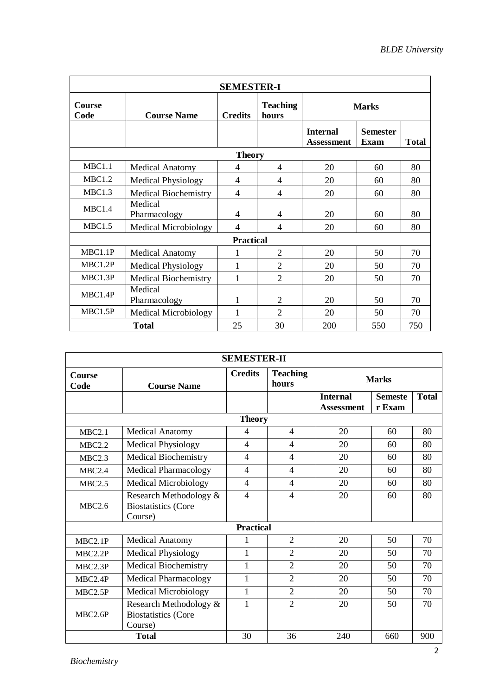| <b>SEMESTER-I</b>     |                             |                  |                          |                                      |                         |              |  |  |  |  |
|-----------------------|-----------------------------|------------------|--------------------------|--------------------------------------|-------------------------|--------------|--|--|--|--|
| <b>Course</b><br>Code | <b>Course Name</b>          | <b>Credits</b>   | <b>Teaching</b><br>hours | <b>Marks</b>                         |                         |              |  |  |  |  |
|                       |                             |                  |                          | <b>Internal</b><br><b>Assessment</b> | <b>Semester</b><br>Exam | <b>Total</b> |  |  |  |  |
| <b>Theory</b>         |                             |                  |                          |                                      |                         |              |  |  |  |  |
| MBC1.1                | <b>Medical Anatomy</b>      | 4                | $\overline{4}$           | 20                                   | 60                      | 80           |  |  |  |  |
| MBC1.2                | <b>Medical Physiology</b>   | 4                | 4                        | 20                                   | 60                      | 80           |  |  |  |  |
| MBC1.3                | Medical Biochemistry        | $\overline{4}$   | 4                        | 20                                   | 60                      | 80           |  |  |  |  |
| MBC1.4                | Medical<br>Pharmacology     | 4                | 4                        | 20                                   | 60                      | 80           |  |  |  |  |
| MBC1.5                | <b>Medical Microbiology</b> | 4                | 4                        | 20                                   | 60                      | 80           |  |  |  |  |
|                       |                             | <b>Practical</b> |                          |                                      |                         |              |  |  |  |  |
| MBC1.1P               | <b>Medical Anatomy</b>      | 1                | $\overline{2}$           | 20                                   | 50                      | 70           |  |  |  |  |
| MBC1.2P               | <b>Medical Physiology</b>   | $\mathbf{1}$     | $\overline{2}$           | 20                                   | 50                      | 70           |  |  |  |  |
| MBC1.3P               | <b>Medical Biochemistry</b> | 1                | $\overline{2}$           | 20                                   | 50                      | 70           |  |  |  |  |
| MBC1.4P               | Medical<br>Pharmacology     | 1                | $\overline{2}$           | 20                                   | 50                      | 70           |  |  |  |  |
| MBC1.5P               | <b>Medical Microbiology</b> | 1                | $\mathfrak{D}$           | 20                                   | 50                      | 70           |  |  |  |  |
|                       | <b>Total</b>                | 25               | 30                       | 200                                  | 550                     | 750          |  |  |  |  |

| <b>SEMESTER-II</b>    |                                                                 |                          |                          |                                      |                          |              |  |  |  |  |
|-----------------------|-----------------------------------------------------------------|--------------------------|--------------------------|--------------------------------------|--------------------------|--------------|--|--|--|--|
| <b>Course</b><br>Code | <b>Course Name</b>                                              | <b>Credits</b>           | <b>Teaching</b><br>hours | <b>Marks</b>                         |                          |              |  |  |  |  |
|                       |                                                                 |                          |                          | <b>Internal</b><br><b>Assessment</b> | <b>Semeste</b><br>r Exam | <b>Total</b> |  |  |  |  |
| <b>Theory</b>         |                                                                 |                          |                          |                                      |                          |              |  |  |  |  |
| MBC2.1                | <b>Medical Anatomy</b>                                          | 4                        | 4                        | 20                                   | 60                       | 80           |  |  |  |  |
| MBC2.2                | <b>Medical Physiology</b>                                       | $\overline{4}$           | $\overline{4}$           | 20                                   | 60                       | 80           |  |  |  |  |
| MBC2.3                | <b>Medical Biochemistry</b>                                     | $\overline{4}$           | $\overline{4}$           | 20                                   | 60                       | 80           |  |  |  |  |
| MBC2.4                | <b>Medical Pharmacology</b>                                     | $\overline{4}$           | $\overline{4}$           | 20                                   | 60                       | 80           |  |  |  |  |
| <b>MBC2.5</b>         | <b>Medical Microbiology</b>                                     | $\overline{4}$           | $\overline{4}$           | 20                                   | 60                       | 80           |  |  |  |  |
| MBC2.6                | Research Methodology &<br><b>Biostatistics</b> (Core<br>Course) | $\overline{\mathcal{A}}$ | $\overline{4}$           | 20                                   | 60                       | 80           |  |  |  |  |
|                       |                                                                 | <b>Practical</b>         |                          |                                      |                          |              |  |  |  |  |
| MBC2.1P               | <b>Medical Anatomy</b>                                          | 1                        | $\overline{2}$           | 20                                   | 50                       | 70           |  |  |  |  |
| MBC2.2P               | <b>Medical Physiology</b>                                       | $\mathbf{1}$             | $\overline{2}$           | 20                                   | 50                       | 70           |  |  |  |  |
| MBC2.3P               | <b>Medical Biochemistry</b>                                     | $\mathbf{1}$             | $\overline{2}$           | 20                                   | 50                       | 70           |  |  |  |  |
| MBC2.4P               | <b>Medical Pharmacology</b>                                     | 1                        | $\overline{2}$           | 20                                   | 50                       | 70           |  |  |  |  |
| MBC2.5P               | <b>Medical Microbiology</b>                                     | $\mathbf{1}$             | $\overline{2}$           | 20                                   | 50                       | 70           |  |  |  |  |
| MBC2.6P               | Research Methodology &<br><b>Biostatistics</b> (Core<br>Course) | 1                        | $\overline{2}$           | 20                                   | 50                       | 70           |  |  |  |  |
|                       | <b>Total</b>                                                    | 30                       | 36                       | 240                                  | 660                      | 900          |  |  |  |  |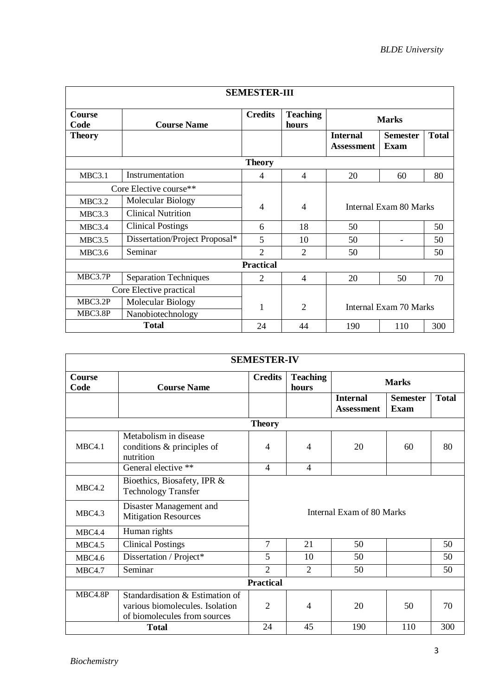| <b>SEMESTER-III</b> |                                |                          |                             |                                      |                                |              |  |  |  |
|---------------------|--------------------------------|--------------------------|-----------------------------|--------------------------------------|--------------------------------|--------------|--|--|--|
| Course<br>Code      | <b>Course Name</b>             | <b>Credits</b>           | <b>Teaching</b><br>hours    | <b>Marks</b>                         |                                |              |  |  |  |
| <b>Theory</b>       |                                |                          |                             | <b>Internal</b><br><b>Assessment</b> | <b>Semester</b><br><b>Exam</b> | <b>Total</b> |  |  |  |
| <b>Theory</b>       |                                |                          |                             |                                      |                                |              |  |  |  |
| MBC3.1              | Instrumentation                | 4                        | 4                           | 20                                   | 60                             | 80           |  |  |  |
|                     | Core Elective course**         |                          |                             |                                      |                                |              |  |  |  |
| <b>MBC3.2</b>       | Molecular Biology              | $\overline{\mathcal{A}}$ | 4                           |                                      | Internal Exam 80 Marks         |              |  |  |  |
| MBC3.3              | <b>Clinical Nutrition</b>      |                          |                             |                                      |                                |              |  |  |  |
| MBC3.4              | <b>Clinical Postings</b>       | 6                        | 18                          | 50                                   |                                | 50           |  |  |  |
| MBC3.5              | Dissertation/Project Proposal* | 5                        | 10                          | 50                                   |                                | 50           |  |  |  |
| <b>MBC3.6</b>       | Seminar                        | $\overline{2}$           | $\mathcal{D}_{\mathcal{A}}$ | 50                                   |                                | 50           |  |  |  |
|                     |                                | <b>Practical</b>         |                             |                                      |                                |              |  |  |  |
| MBC3.7P             | <b>Separation Techniques</b>   | $\mathfrak{D}$           | 4                           | 20                                   | 50                             | 70           |  |  |  |
|                     | Core Elective practical        |                          |                             |                                      |                                |              |  |  |  |
| MBC3.2P             | Molecular Biology              | 1                        | $\overline{2}$              | <b>Internal Exam 70 Marks</b>        |                                |              |  |  |  |
| MBC3.8P             | Nanobiotechnology              |                          |                             |                                      |                                |              |  |  |  |
|                     | <b>Total</b>                   | 24                       | 44                          | 190                                  | 110                            | 300          |  |  |  |

| <b>SEMESTER-IV</b>    |                                                                                                    |                          |                             |                                      |                         |              |  |  |  |  |
|-----------------------|----------------------------------------------------------------------------------------------------|--------------------------|-----------------------------|--------------------------------------|-------------------------|--------------|--|--|--|--|
| <b>Course</b><br>Code | <b>Course Name</b>                                                                                 | <b>Credits</b>           | <b>Teaching</b><br>hours    | <b>Marks</b>                         |                         |              |  |  |  |  |
|                       |                                                                                                    |                          |                             | <b>Internal</b><br><b>Assessment</b> | <b>Semester</b><br>Exam | <b>Total</b> |  |  |  |  |
|                       |                                                                                                    | <b>Theory</b>            |                             |                                      |                         |              |  |  |  |  |
| MBC4.1                | Metabolism in disease<br>conditions & principles of<br>nutrition                                   | $\overline{\mathcal{A}}$ | $\overline{4}$              | 20                                   | 60                      | 80           |  |  |  |  |
|                       | General elective **                                                                                | $\overline{4}$           | $\overline{4}$              |                                      |                         |              |  |  |  |  |
| MBC4.2                | Bioethics, Biosafety, IPR &<br><b>Technology Transfer</b>                                          |                          |                             |                                      |                         |              |  |  |  |  |
| MBC4.3                | Disaster Management and<br><b>Mitigation Resources</b>                                             |                          |                             | Internal Exam of 80 Marks            |                         |              |  |  |  |  |
| MBC4.4                | Human rights                                                                                       |                          |                             |                                      |                         |              |  |  |  |  |
| <b>MBC4.5</b>         | <b>Clinical Postings</b>                                                                           | $\tau$                   | 21                          | 50                                   |                         | 50           |  |  |  |  |
| <b>MBC4.6</b>         | Dissertation / Project*                                                                            | 5                        | 10                          | 50                                   |                         | 50           |  |  |  |  |
| <b>MBC4.7</b>         | Seminar                                                                                            | $\overline{2}$           | $\mathcal{D}_{\mathcal{L}}$ | 50                                   |                         | 50           |  |  |  |  |
|                       |                                                                                                    | <b>Practical</b>         |                             |                                      |                         |              |  |  |  |  |
| MBC4.8P               | Standardisation & Estimation of<br>various biomolecules. Isolation<br>of biomolecules from sources | $\overline{2}$           | 4                           | 20                                   | 50                      | 70           |  |  |  |  |
|                       | <b>Total</b>                                                                                       | 24                       | 45                          | 190                                  | 110                     | 300          |  |  |  |  |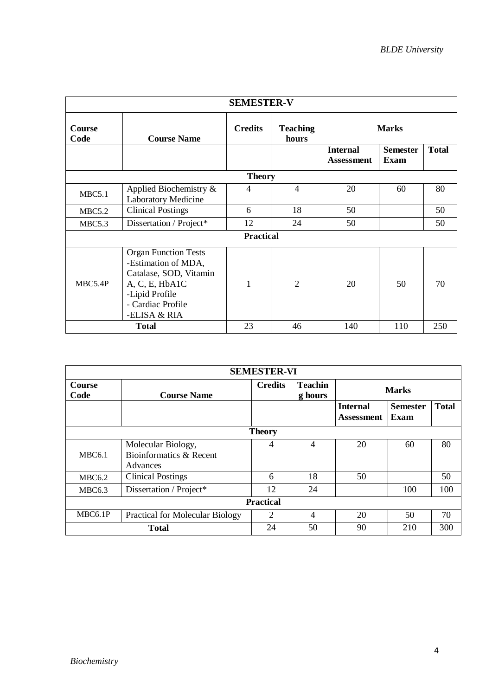| <b>SEMESTER-V</b>     |                                                                                                                                                       |                  |                          |                                      |              |     |  |  |  |
|-----------------------|-------------------------------------------------------------------------------------------------------------------------------------------------------|------------------|--------------------------|--------------------------------------|--------------|-----|--|--|--|
| <b>Course</b><br>Code | <b>Course Name</b>                                                                                                                                    | <b>Credits</b>   | <b>Teaching</b><br>hours | <b>Marks</b>                         |              |     |  |  |  |
|                       |                                                                                                                                                       |                  |                          | <b>Internal</b><br><b>Assessment</b> | <b>Total</b> |     |  |  |  |
|                       |                                                                                                                                                       | <b>Theory</b>    |                          |                                      |              |     |  |  |  |
| MBC5.1                | Applied Biochemistry &<br><b>Laboratory Medicine</b>                                                                                                  | $\overline{4}$   | $\overline{4}$           | 20                                   | 60           | 80  |  |  |  |
| <b>MBC5.2</b>         | <b>Clinical Postings</b>                                                                                                                              | 6                | 18                       | 50                                   |              | 50  |  |  |  |
| MBC5.3                | Dissertation / Project*                                                                                                                               | 12               | 24                       | 50<br>50                             |              |     |  |  |  |
|                       |                                                                                                                                                       | <b>Practical</b> |                          |                                      |              |     |  |  |  |
| MBC5.4P               | <b>Organ Function Tests</b><br>-Estimation of MDA,<br>Catalase, SOD, Vitamin<br>A, C, E, HbA1C<br>-Lipid Profile<br>- Cardiac Profile<br>-ELISA & RIA |                  | $\overline{2}$           | 20                                   | 50           | 70  |  |  |  |
|                       | <b>Total</b>                                                                                                                                          | 23               | 46                       | 140                                  | 110          | 250 |  |  |  |

| <b>SEMESTER-VI</b>    |                                               |                |                           |                                      |              |     |  |  |  |  |
|-----------------------|-----------------------------------------------|----------------|---------------------------|--------------------------------------|--------------|-----|--|--|--|--|
| <b>Course</b><br>Code | <b>Course Name</b>                            | <b>Credits</b> | <b>Teachin</b><br>g hours | <b>Marks</b>                         |              |     |  |  |  |  |
|                       |                                               |                |                           | <b>Internal</b><br><b>Assessment</b> | <b>Total</b> |     |  |  |  |  |
| <b>Theory</b>         |                                               |                |                           |                                      |              |     |  |  |  |  |
| MBC6.1                | Molecular Biology,<br>Bioinformatics & Recent | 4              | 4                         | 20                                   | 60           | 80  |  |  |  |  |
|                       | Advances                                      |                |                           |                                      |              |     |  |  |  |  |
| MBC6.2                | <b>Clinical Postings</b>                      | 6              | 18                        | 50                                   |              | 50  |  |  |  |  |
| MBC6.3                | Dissertation / Project*                       | 12             | 24                        |                                      | 100          | 100 |  |  |  |  |
| <b>Practical</b>      |                                               |                |                           |                                      |              |     |  |  |  |  |
| MBC6.1P               | <b>Practical for Molecular Biology</b>        | 2              | 4                         | 20                                   | 50           | 70  |  |  |  |  |
|                       | <b>Total</b>                                  | 24             | 50                        | 90                                   | 210          | 300 |  |  |  |  |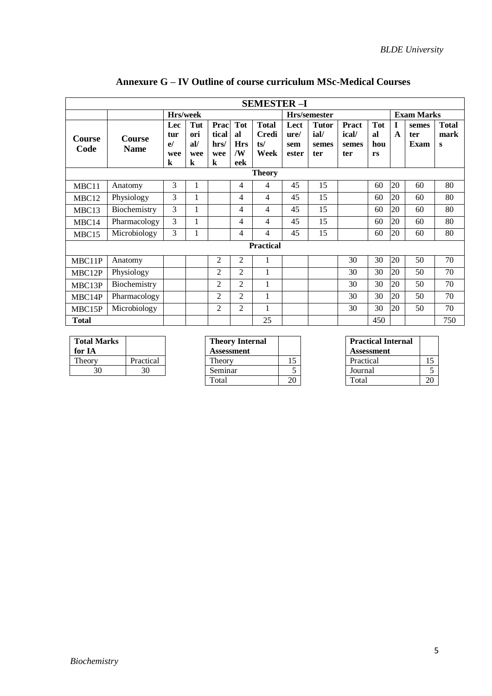|                       | <b>SEMESTER-I</b>            |                                    |                                     |                                   |                                             |                                             |                              |                                      |                                       |                               |              |                      |                           |
|-----------------------|------------------------------|------------------------------------|-------------------------------------|-----------------------------------|---------------------------------------------|---------------------------------------------|------------------------------|--------------------------------------|---------------------------------------|-------------------------------|--------------|----------------------|---------------------------|
|                       |                              | Hrs/week                           |                                     |                                   |                                             | Hrs/semester                                |                              |                                      |                                       | <b>Exam Marks</b>             |              |                      |                           |
| <b>Course</b><br>Code | <b>Course</b><br><b>Name</b> | Lec<br>tur<br>e/<br>wee<br>$\bf k$ | Tut<br>ori<br>al/<br>wee<br>$\bf k$ | Prac<br>tical<br>hrs/<br>wee<br>k | <b>Tot</b><br>al<br><b>Hrs</b><br>/W<br>eek | <b>Total</b><br><b>Credi</b><br>ts/<br>Week | Lect<br>ure/<br>sem<br>ester | <b>Tutor</b><br>ial/<br>semes<br>ter | <b>Pract</b><br>ical/<br>semes<br>ter | <b>Tot</b><br>al<br>hou<br>rs | $\mathbf{A}$ | semes<br>ter<br>Exam | <b>Total</b><br>mark<br>S |
|                       | <b>Theory</b>                |                                    |                                     |                                   |                                             |                                             |                              |                                      |                                       |                               |              |                      |                           |
| MBC11                 | Anatomy                      | 3                                  | 1                                   |                                   | 4                                           | 4                                           | 45                           | 15                                   |                                       | 60                            | 20           | 60                   | 80                        |
| MBC12                 | Physiology                   | 3                                  | 1                                   |                                   | 4                                           | 4                                           | 45                           | 15                                   |                                       | 60                            | 20           | 60                   | 80                        |
| MBC13                 | Biochemistry                 | 3                                  | 1                                   |                                   | 4                                           | 4                                           | 45                           | 15                                   |                                       | 60                            | 20           | 60                   | 80                        |
| MBC14                 | Pharmacology                 | 3                                  | 1                                   |                                   | 4                                           | 4                                           | 45                           | 15                                   |                                       | 60                            | 20           | 60                   | 80                        |
| MBC15                 | Microbiology                 | 3                                  | $\mathbf{1}$                        |                                   | 4                                           | 4                                           | 45                           | 15                                   |                                       | 60                            | 20           | 60                   | 80                        |
|                       |                              |                                    |                                     |                                   |                                             | <b>Practical</b>                            |                              |                                      |                                       |                               |              |                      |                           |
| MBC11P                | Anatomy                      |                                    |                                     | $\overline{2}$                    | $\overline{2}$                              | 1                                           |                              |                                      | 30                                    | 30                            | 20           | 50                   | 70                        |
| MBC12P                | Physiology                   |                                    |                                     | $\overline{2}$                    | $\overline{2}$                              | $\mathbf{1}$                                |                              |                                      | 30                                    | 30                            | 20           | 50                   | 70                        |
| MBC13P                | Biochemistry                 |                                    |                                     | $\overline{2}$                    | $\overline{c}$                              | 1                                           |                              |                                      | 30                                    | 30                            | 20           | 50                   | 70                        |
| MBC14P                | Pharmacology                 |                                    |                                     | $\overline{2}$                    | $\overline{c}$                              | 1                                           |                              |                                      | 30                                    | 30                            | 20           | 50                   | 70                        |
| MBC15P                | Microbiology                 |                                    |                                     | $\overline{2}$                    | $\overline{c}$                              | $\mathbf{1}$                                |                              |                                      | 30                                    | 30                            | 20           | 50                   | 70                        |
| <b>Total</b>          |                              |                                    |                                     |                                   |                                             | 25                                          |                              |                                      |                                       | 450                           |              |                      | 750                       |

## **Annexure G – IV Outline of course curriculum MSc-Medical Courses**

| <b>Total Marks</b><br>for IA |           |
|------------------------------|-----------|
| Theory                       | Practical |
| 30                           | 30        |

| <b>Total Marks</b><br>for IA |           | <b>Theory Internal</b><br><b>Assessment</b> |    | <b>Practical Internal</b><br><b>Assessment</b> |    |
|------------------------------|-----------|---------------------------------------------|----|------------------------------------------------|----|
| Theory                       | Practical | <b>Theory</b>                               |    | Practical                                      | ⊥୰ |
| 30                           | 30        | Seminar                                     |    | Journal                                        |    |
|                              |           | Total                                       | 20 | Total                                          | 20 |

| <b>Theory Internal</b><br>Assessment | <b>Practical Internal</b><br><b>Assessment</b> |  |
|--------------------------------------|------------------------------------------------|--|
| Theory                               | Practical                                      |  |
| Seminar                              | Journal                                        |  |
| Total                                | Total                                          |  |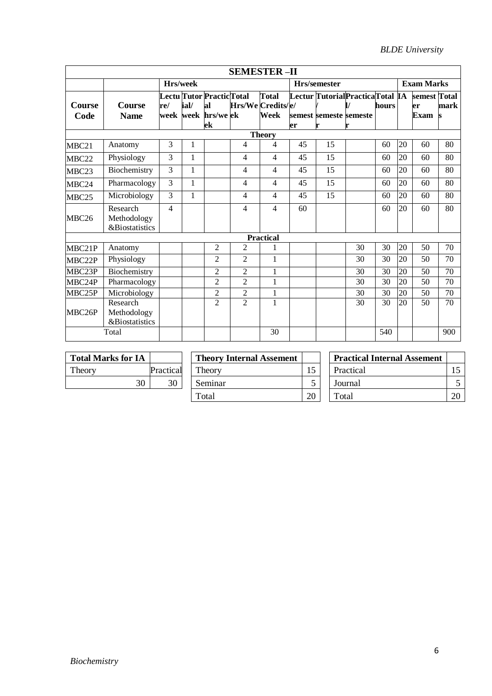|                   |                                                      |     |              |                                                              | <b>SEMESTER-II</b> |                      |    |                                                           |    |       |    |                                   |      |
|-------------------|------------------------------------------------------|-----|--------------|--------------------------------------------------------------|--------------------|----------------------|----|-----------------------------------------------------------|----|-------|----|-----------------------------------|------|
|                   |                                                      |     | Hrs/week     |                                                              |                    |                      |    | Hrs/semester                                              |    |       |    | <b>Exam Marks</b>                 |      |
| Course<br>Code    | <b>Course</b><br><b>Name</b>                         | re/ | ial/         | Lectu Tutor Practic Total<br>al<br>week week hrs/we ek<br>ek | Hrs/We Credits/e/  | <b>Total</b><br>Week | er | Lectur TutorialPracticaTotal IA<br>semest semeste semeste |    | hours |    | semest Total<br>er<br><b>Exam</b> | mark |
| <b>Theory</b>     |                                                      |     |              |                                                              |                    |                      |    |                                                           |    |       |    |                                   |      |
| MBC21             | Anatomy                                              | 3   | 1            |                                                              | 4                  | 4                    | 45 | 15                                                        |    | 60    | 20 | 60                                | 80   |
| MBC22             | Physiology                                           | 3   | $\mathbf{1}$ |                                                              | 4                  | $\overline{4}$       | 45 | 15                                                        |    | 60    | 20 | 60                                | 80   |
| MBC23             | Biochemistry                                         | 3   | $\mathbf{1}$ |                                                              | 4                  | $\overline{4}$       | 45 | 15                                                        |    | 60    | 20 | 60                                | 80   |
| MBC24             | Pharmacology                                         | 3   | 1            |                                                              | 4                  | $\overline{4}$       | 45 | 15                                                        |    | 60    | 20 | 60                                | 80   |
| MBC <sub>25</sub> | Microbiology                                         | 3   | $\mathbf{1}$ |                                                              | 4                  | $\overline{4}$       | 45 | 15                                                        |    | 60    | 20 | 60                                | 80   |
| MBC <sub>26</sub> | Research<br>Methodology<br><b>&amp;Biostatistics</b> | 4   |              |                                                              | 4                  | 4                    | 60 |                                                           |    | 60    | 20 | 60                                | 80   |
|                   |                                                      |     |              |                                                              |                    | <b>Practical</b>     |    |                                                           |    |       |    |                                   |      |
| MBC21P            | Anatomy                                              |     |              | 2                                                            | 2                  |                      |    |                                                           | 30 | 30    | 20 | 50                                | 70   |
| MBC22P            | Physiology                                           |     |              | 2                                                            | $\overline{2}$     | 1                    |    |                                                           | 30 | 30    | 20 | 50                                | 70   |
| MBC23P            | Biochemistry                                         |     |              | $\overline{2}$                                               | $\overline{2}$     | $\mathbf{1}$         |    |                                                           | 30 | 30    | 20 | 50                                | 70   |
| MBC24P            | Pharmacology                                         |     |              | $\overline{2}$                                               | $\overline{2}$     | $\mathbf{1}$         |    |                                                           | 30 | 30    | 20 | 50                                | 70   |
| MBC25P            | Microbiology                                         |     |              | $\overline{c}$                                               | $\overline{2}$     | 1                    |    |                                                           | 30 | 30    | 20 | 50                                | 70   |
| MBC26P            | Research<br>Methodology<br><b>&amp;Biostatistics</b> |     |              | $\overline{2}$                                               | $\overline{2}$     | 1                    |    |                                                           | 30 | 30    | 20 | 50                                | 70   |
|                   | Total                                                |     |              |                                                              |                    | 30                   |    |                                                           |    | 540   |    |                                   | 900  |

| <b>Total Marks for IA</b> |          |
|---------------------------|----------|
| Theory                    | Practica |
| 30                        |          |
|                           |          |

| <b>Total Marks for IA</b> |           | <b>Theory Internal Assement</b> |    | <b>Practical Internal Assement</b> |    |
|---------------------------|-----------|---------------------------------|----|------------------------------------|----|
| Theory                    | Practical | Theory                          | 15 | Practical                          |    |
| 30                        | 30        | Seminar                         |    | Journal                            |    |
|                           |           | Total                           | 20 | Total                              | 20 |

| <b>Theory Internal Assement</b> |  | <b>Practical Internal Assement</b> |  |
|---------------------------------|--|------------------------------------|--|
| Theory                          |  | Practical                          |  |
| Seminar                         |  | Journal                            |  |
| Total                           |  | Total                              |  |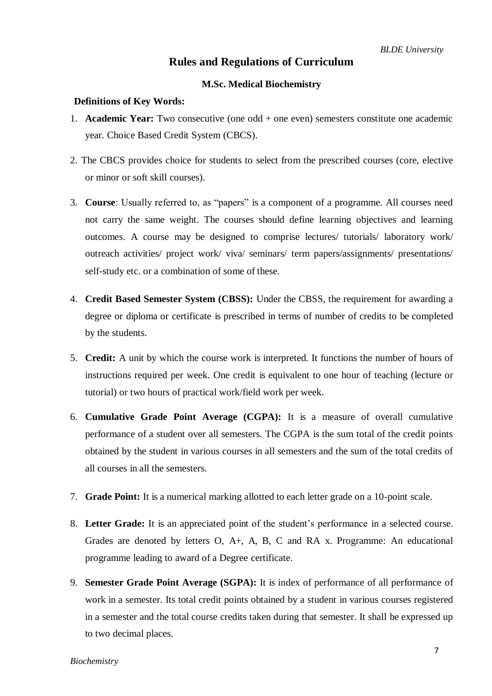### **Rules and Regulations of Curriculum**

#### **M.Sc. Medical Biochemistry**

#### **Definitions of Key Words:**

- 1. **Academic Year:** Two consecutive (one odd + one even) semesters constitute one academic year. Choice Based Credit System (CBCS).
- 2. The CBCS provides choice for students to select from the prescribed courses (core, elective or minor or soft skill courses).
- 3. **Course**: Usually referred to, as "papers" is a component of a programme. All courses need not carry the same weight. The courses should define learning objectives and learning outcomes. A course may be designed to comprise lectures/ tutorials/ laboratory work/ outreach activities/ project work/ viva/ seminars/ term papers/assignments/ presentations/ self-study etc. or a combination of some of these.
- 4. **Credit Based Semester System (CBSS):** Under the CBSS, the requirement for awarding a degree or diploma or certificate is prescribed in terms of number of credits to be completed by the students.
- 5. **Credit:** A unit by which the course work is interpreted. It functions the number of hours of instructions required per week. One credit is equivalent to one hour of teaching (lecture or tutorial) or two hours of practical work/field work per week.
- 6. **Cumulative Grade Point Average (CGPA):** It is a measure of overall cumulative performance of a student over all semesters. The CGPA is the sum total of the credit points obtained by the student in various courses in all semesters and the sum of the total credits of all courses in all the semesters.
- 7. **Grade Point:** It is a numerical marking allotted to each letter grade on a 10-point scale.
- 8. **Letter Grade:** It is an appreciated point of the student's performance in a selected course. Grades are denoted by letters O, A+, A, B, C and RA x. Programme: An educational programme leading to award of a Degree certificate.
- 9. **Semester Grade Point Average (SGPA):** It is index of performance of all performance of work in a semester. Its total credit points obtained by a student in various courses registered in a semester and the total course credits taken during that semester. It shall be expressed up to two decimal places.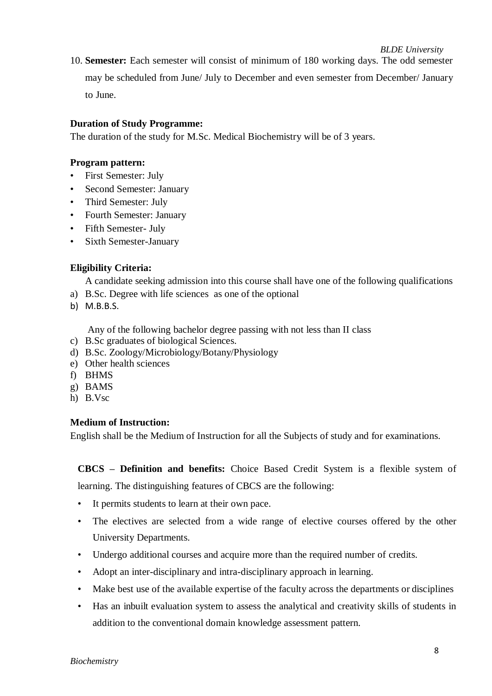10. **Semester:** Each semester will consist of minimum of 180 working days. The odd semester may be scheduled from June/ July to December and even semester from December/ January to June.

#### **Duration of Study Programme:**

The duration of the study for M.Sc. Medical Biochemistry will be of 3 years.

#### **Program pattern:**

- First Semester: July
- Second Semester: January
- Third Semester: July
- Fourth Semester: January
- Fifth Semester- July
- Sixth Semester-January

#### **Eligibility Criteria:**

A candidate seeking admission into this course shall have one of the following qualifications

- a) B.Sc. Degree with life sciences as one of the optional
- b) M.B.B.S.

Any of the following bachelor degree passing with not less than II class

- c) B.Sc graduates of biological Sciences.
- d) B.Sc. Zoology/Microbiology/Botany/Physiology
- e) Other health sciences
- f) BHMS
- g) BAMS
- h) B.Vsc

#### **Medium of Instruction:**

English shall be the Medium of Instruction for all the Subjects of study and for examinations.

**CBCS – Definition and benefits:** Choice Based Credit System is a flexible system of learning. The distinguishing features of CBCS are the following:

- It permits students to learn at their own pace.
- The electives are selected from a wide range of elective courses offered by the other University Departments.
- Undergo additional courses and acquire more than the required number of credits.
- Adopt an inter-disciplinary and intra-disciplinary approach in learning.
- Make best use of the available expertise of the faculty across the departments or disciplines
- Has an inbuilt evaluation system to assess the analytical and creativity skills of students in addition to the conventional domain knowledge assessment pattern.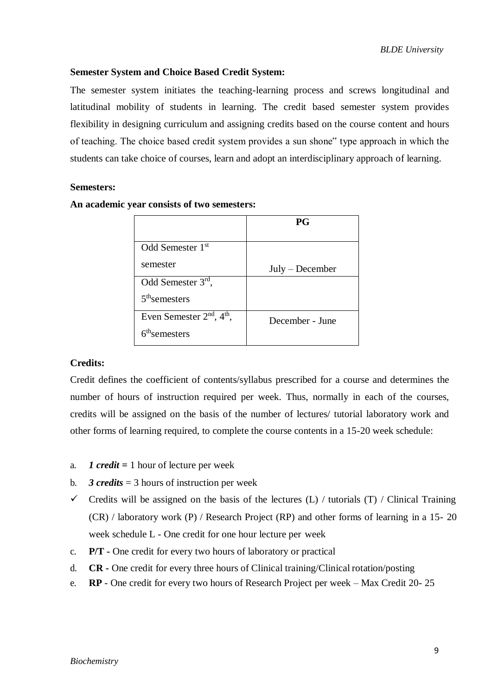#### **Semester System and Choice Based Credit System:**

The semester system initiates the teaching-learning process and screws longitudinal and latitudinal mobility of students in learning. The credit based semester system provides flexibility in designing curriculum and assigning credits based on the course content and hours of teaching. The choice based credit system provides a sun shone" type approach in which the students can take choice of courses, learn and adopt an interdisciplinary approach of learning.

#### **Semesters:**

|                               | <b>PG</b>         |
|-------------------------------|-------------------|
| Odd Semester 1st              |                   |
| semester                      | $July - December$ |
| Odd Semester 3rd,             |                   |
| $5th$ semesters               |                   |
| Even Semester $2nd$ , $4th$ , | December - June   |
| 6 <sup>th</sup> semesters     |                   |

#### **An academic year consists of two semesters:**

#### **Credits:**

Credit defines the coefficient of contents/syllabus prescribed for a course and determines the number of hours of instruction required per week. Thus, normally in each of the courses, credits will be assigned on the basis of the number of lectures/ tutorial laboratory work and other forms of learning required, to complete the course contents in a 15-20 week schedule:

- a. *1 credit =* 1 hour of lecture per week
- b. **3 credits** = 3 hours of instruction per week
- $\checkmark$  Credits will be assigned on the basis of the lectures (L) / tutorials (T) / Clinical Training (CR) / laboratory work (P) / Research Project (RP) and other forms of learning in a 15- 20 week schedule L - One credit for one hour lecture per week
- c. **P/T -** One credit for every two hours of laboratory or practical
- d. **CR -** One credit for every three hours of Clinical training/Clinical rotation/posting
- e. **RP**  One credit for every two hours of Research Project per week Max Credit 20- 25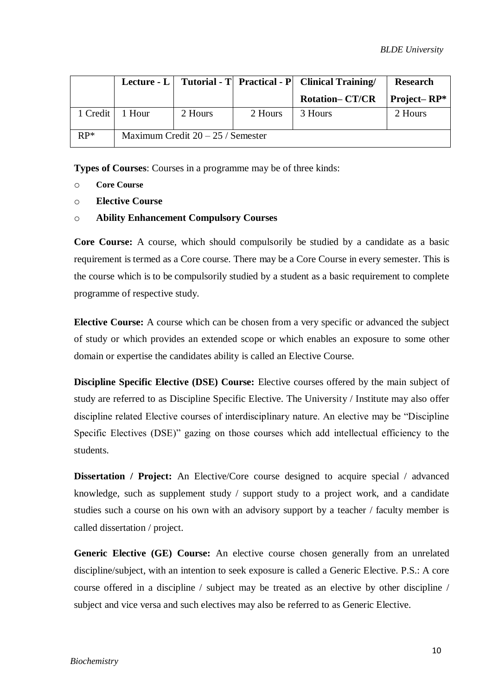|          |        |                                     |         | Lecture - L   Tutorial - T   Practical - P   Clinical Training | <b>Research</b> |
|----------|--------|-------------------------------------|---------|----------------------------------------------------------------|-----------------|
|          |        |                                     |         | <b>Rotation-CT/CR</b>                                          | Project–RP $*$  |
| 1 Credit | 1 Hour | 2 Hours                             | 2 Hours | 3 Hours                                                        | 2 Hours         |
| $RP^*$   |        | Maximum Credit $20 - 25$ / Semester |         |                                                                |                 |

**Types of Courses**: Courses in a programme may be of three kinds:

- o **Core Course**
- o **Elective Course**
- o **Ability Enhancement Compulsory Courses**

**Core Course:** A course, which should compulsorily be studied by a candidate as a basic requirement is termed as a Core course. There may be a Core Course in every semester. This is the course which is to be compulsorily studied by a student as a basic requirement to complete programme of respective study.

**Elective Course:** A course which can be chosen from a very specific or advanced the subject of study or which provides an extended scope or which enables an exposure to some other domain or expertise the candidates ability is called an Elective Course.

**Discipline Specific Elective (DSE) Course:** Elective courses offered by the main subject of study are referred to as Discipline Specific Elective. The University / Institute may also offer discipline related Elective courses of interdisciplinary nature. An elective may be "Discipline Specific Electives (DSE)" gazing on those courses which add intellectual efficiency to the students.

**Dissertation / Project:** An Elective/Core course designed to acquire special / advanced knowledge, such as supplement study / support study to a project work, and a candidate studies such a course on his own with an advisory support by a teacher / faculty member is called dissertation / project.

**Generic Elective (GE) Course:** An elective course chosen generally from an unrelated discipline/subject, with an intention to seek exposure is called a Generic Elective. P.S.: A core course offered in a discipline / subject may be treated as an elective by other discipline / subject and vice versa and such electives may also be referred to as Generic Elective.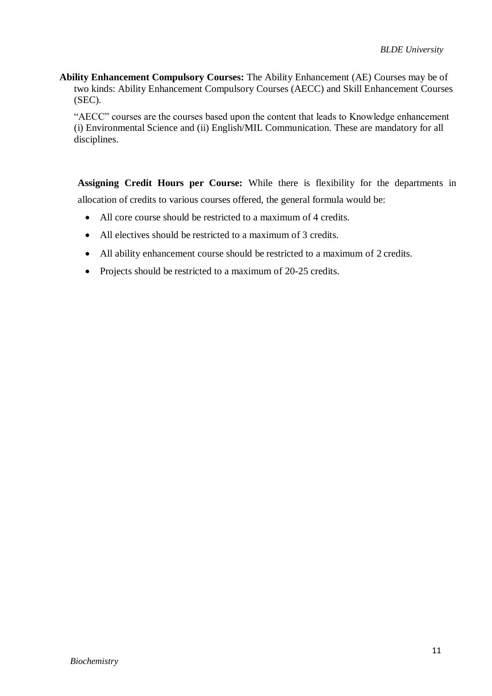**Ability Enhancement Compulsory Courses:** The Ability Enhancement (AE) Courses may be of two kinds: Ability Enhancement Compulsory Courses (AECC) and Skill Enhancement Courses (SEC).

"AECC" courses are the courses based upon the content that leads to Knowledge enhancement (i) Environmental Science and (ii) English/MIL Communication. These are mandatory for all disciplines.

**Assigning Credit Hours per Course:** While there is flexibility for the departments in allocation of credits to various courses offered, the general formula would be:

- All core course should be restricted to a maximum of 4 credits.
- All electives should be restricted to a maximum of 3 credits.
- All ability enhancement course should be restricted to a maximum of 2 credits.
- Projects should be restricted to a maximum of 20-25 credits.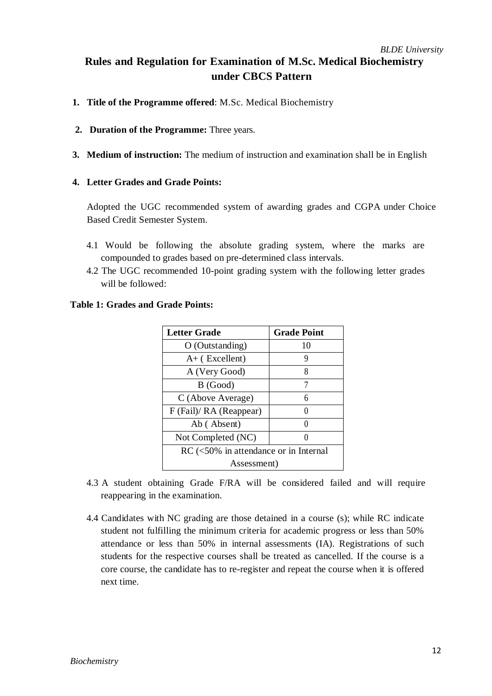## *BLDE University* **Rules and Regulation for Examination of M.Sc. Medical Biochemistry under CBCS Pattern**

- **1. Title of the Programme offered**: M.Sc. Medical Biochemistry
- **2. Duration of the Programme:** Three years.
- **3. Medium of instruction:** The medium of instruction and examination shall be in English

#### **4. Letter Grades and Grade Points:**

Adopted the UGC recommended system of awarding grades and CGPA under Choice Based Credit Semester System.

- 4.1 Would be following the absolute grading system, where the marks are compounded to grades based on pre-determined class intervals.
- 4.2 The UGC recommended 10-point grading system with the following letter grades will be followed:

| <b>Letter Grade</b>                     | <b>Grade Point</b> |  |  |
|-----------------------------------------|--------------------|--|--|
| $O$ (Outstanding)                       | 10                 |  |  |
| $A+$ (Excellent)                        | 9                  |  |  |
| A (Very Good)                           | 8                  |  |  |
| B (Good)                                | 7                  |  |  |
| C (Above Average)                       | 6                  |  |  |
| F (Fail)/ RA (Reappear)                 |                    |  |  |
| Ab (Absent)                             |                    |  |  |
| Not Completed (NC)                      |                    |  |  |
| $RC$ (<50% in attendance or in Internal |                    |  |  |
| Assessment)                             |                    |  |  |

#### **Table 1: Grades and Grade Points:**

- 4.3 A student obtaining Grade F/RA will be considered failed and will require reappearing in the examination.
- 4.4 Candidates with NC grading are those detained in a course (s); while RC indicate student not fulfilling the minimum criteria for academic progress or less than 50% attendance or less than 50% in internal assessments (IA). Registrations of such students for the respective courses shall be treated as cancelled. If the course is a core course, the candidate has to re-register and repeat the course when it is offered next time.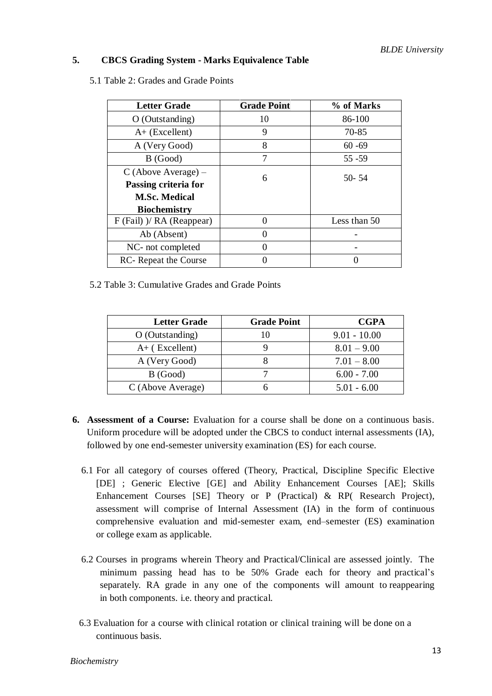#### **5. CBCS Grading System - Marks Equivalence Table**

5.1 Table 2: Grades and Grade Points

| <b>Letter Grade</b>         | <b>Grade Point</b> | % of Marks   |  |
|-----------------------------|--------------------|--------------|--|
| $O$ (Outstanding)           | 10                 | 86-100       |  |
| $A+$ (Excellent)            | 9                  | 70-85        |  |
| A (Very Good)               | 8                  | $60 - 69$    |  |
| B (Good)                    | 7                  | $55 - 59$    |  |
| $C$ (Above Average) –       | 6                  | $50 - 54$    |  |
| Passing criteria for        |                    |              |  |
| <b>M.Sc. Medical</b>        |                    |              |  |
| <b>Biochemistry</b>         |                    |              |  |
| $F$ (Fail) )/ RA (Reappear) |                    | Less than 50 |  |
| Ab (Absent)                 |                    |              |  |
| NC- not completed           |                    |              |  |
| RC-Repeat the Course        |                    |              |  |

5.2 Table 3: Cumulative Grades and Grade Points

| <b>Letter Grade</b> | <b>Grade Point</b> | <b>CGPA</b>    |
|---------------------|--------------------|----------------|
| $O$ (Outstanding)   | 10                 | $9.01 - 10.00$ |
| $A+$ (Excellent)    |                    | $8.01 - 9.00$  |
| A (Very Good)       |                    | $7.01 - 8.00$  |
| B (Good)            |                    | $6.00 - 7.00$  |
| C (Above Average)   |                    | $5.01 - 6.00$  |

- **6. Assessment of a Course:** Evaluation for a course shall be done on a continuous basis. Uniform procedure will be adopted under the CBCS to conduct internal assessments (IA), followed by one end-semester university examination (ES) for each course.
	- 6.1 For all category of courses offered (Theory, Practical, Discipline Specific Elective [DE] ; Generic Elective [GE] and Ability Enhancement Courses [AE]; Skills Enhancement Courses [SE] Theory or P (Practical) & RP( Research Project), assessment will comprise of Internal Assessment (IA) in the form of continuous comprehensive evaluation and mid-semester exam, end–semester (ES) examination or college exam as applicable.
	- 6.2 Courses in programs wherein Theory and Practical/Clinical are assessed jointly. The minimum passing head has to be 50% Grade each for theory and practical's separately. RA grade in any one of the components will amount to reappearing in both components. i.e. theory and practical.
	- 6.3 Evaluation for a course with clinical rotation or clinical training will be done on a continuous basis.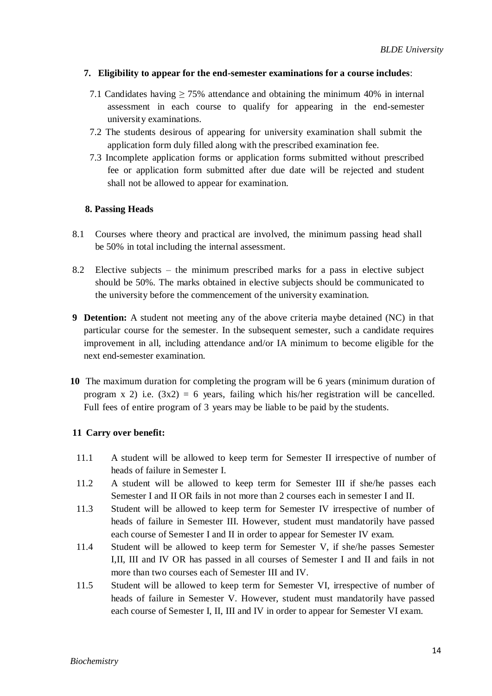#### **7. Eligibility to appear for the end-semester examinations for a course includes**:

- 7.1 Candidates having  $\geq$  75% attendance and obtaining the minimum 40% in internal assessment in each course to qualify for appearing in the end-semester university examinations.
- 7.2 The students desirous of appearing for university examination shall submit the application form duly filled along with the prescribed examination fee.
- 7.3 Incomplete application forms or application forms submitted without prescribed fee or application form submitted after due date will be rejected and student shall not be allowed to appear for examination.

#### **8. Passing Heads**

- 8.1 Courses where theory and practical are involved, the minimum passing head shall be 50% in total including the internal assessment.
- 8.2 Elective subjects the minimum prescribed marks for a pass in elective subject should be 50%. The marks obtained in elective subjects should be communicated to the university before the commencement of the university examination.
- **9 Detention:** A student not meeting any of the above criteria maybe detained (NC) in that particular course for the semester. In the subsequent semester, such a candidate requires improvement in all, including attendance and/or IA minimum to become eligible for the next end-semester examination.
- **10** The maximum duration for completing the program will be 6 years (minimum duration of program x 2) i.e.  $(3x^2) = 6$  years, failing which his/her registration will be cancelled. Full fees of entire program of 3 years may be liable to be paid by the students.

#### **11 Carry over benefit:**

- 11.1 A student will be allowed to keep term for Semester II irrespective of number of heads of failure in Semester I.
- 11.2 A student will be allowed to keep term for Semester III if she/he passes each Semester I and II OR fails in not more than 2 courses each in semester I and II.
- 11.3 Student will be allowed to keep term for Semester IV irrespective of number of heads of failure in Semester III. However, student must mandatorily have passed each course of Semester I and II in order to appear for Semester IV exam.
- 11.4 Student will be allowed to keep term for Semester V, if she/he passes Semester I,II, III and IV OR has passed in all courses of Semester I and II and fails in not more than two courses each of Semester III and IV.
- 11.5 Student will be allowed to keep term for Semester VI, irrespective of number of heads of failure in Semester V. However, student must mandatorily have passed each course of Semester I, II, III and IV in order to appear for Semester VI exam.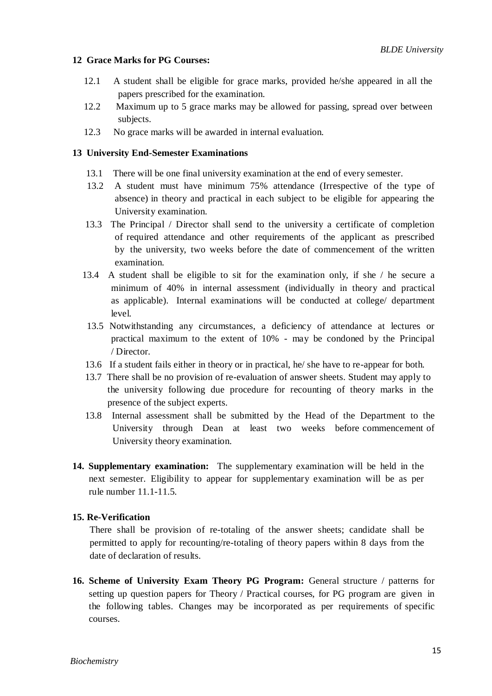#### **12 Grace Marks for PG Courses:**

- 12.1 A student shall be eligible for grace marks, provided he/she appeared in all the papers prescribed for the examination.
- 12.2 Maximum up to 5 grace marks may be allowed for passing, spread over between subjects.
- 12.3 No grace marks will be awarded in internal evaluation.

#### **13 University End-Semester Examinations**

- 13.1 There will be one final university examination at the end of every semester.
- 13.2 A student must have minimum 75% attendance (Irrespective of the type of absence) in theory and practical in each subject to be eligible for appearing the University examination.
- 13.3 The Principal / Director shall send to the university a certificate of completion of required attendance and other requirements of the applicant as prescribed by the university, two weeks before the date of commencement of the written examination.
- 13.4 A student shall be eligible to sit for the examination only, if she / he secure a minimum of 40% in internal assessment (individually in theory and practical as applicable). Internal examinations will be conducted at college/ department level.
- 13.5 Notwithstanding any circumstances, a deficiency of attendance at lectures or practical maximum to the extent of 10% - may be condoned by the Principal / Director.
- 13.6 If a student fails either in theory or in practical, he/ she have to re-appear for both.
- 13.7 There shall be no provision of re-evaluation of answer sheets. Student may apply to the university following due procedure for recounting of theory marks in the presence of the subject experts.
- 13.8 Internal assessment shall be submitted by the Head of the Department to the University through Dean at least two weeks before commencement of University theory examination.
- **14. Supplementary examination:** The supplementary examination will be held in the next semester. Eligibility to appear for supplementary examination will be as per rule number 11.1-11.5.

#### **15. Re-Verification**

There shall be provision of re-totaling of the answer sheets; candidate shall be permitted to apply for recounting/re-totaling of theory papers within 8 days from the date of declaration of results.

**16. Scheme of University Exam Theory PG Program:** General structure / patterns for setting up question papers for Theory / Practical courses, for PG program are given in the following tables. Changes may be incorporated as per requirements of specific courses.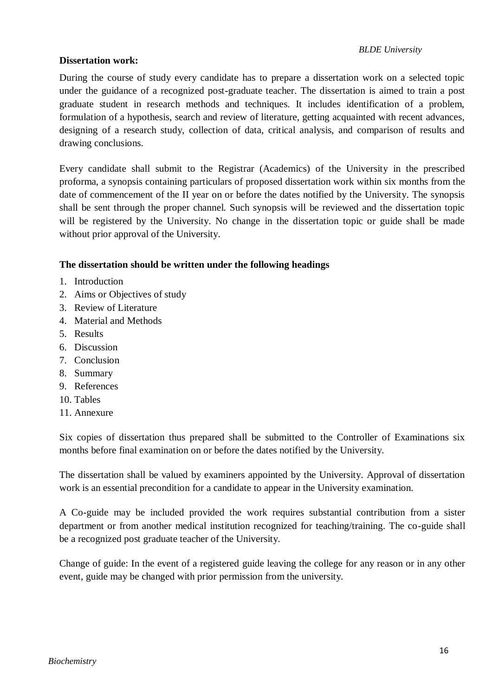#### **Dissertation work:**

During the course of study every candidate has to prepare a dissertation work on a selected topic under the guidance of a recognized post-graduate teacher. The dissertation is aimed to train a post graduate student in research methods and techniques. It includes identification of a problem, formulation of a hypothesis, search and review of literature, getting acquainted with recent advances, designing of a research study, collection of data, critical analysis, and comparison of results and drawing conclusions.

Every candidate shall submit to the Registrar (Academics) of the University in the prescribed proforma, a synopsis containing particulars of proposed dissertation work within six months from the date of commencement of the II year on or before the dates notified by the University. The synopsis shall be sent through the proper channel. Such synopsis will be reviewed and the dissertation topic will be registered by the University. No change in the dissertation topic or guide shall be made without prior approval of the University.

#### **The dissertation should be written under the following headings**

- 1. Introduction
- 2. Aims or Objectives of study
- 3. Review of Literature
- 4. Material and Methods
- 5. Results
- 6. Discussion
- 7. Conclusion
- 8. Summary
- 9. References
- 10. Tables
- 11. Annexure

Six copies of dissertation thus prepared shall be submitted to the Controller of Examinations six months before final examination on or before the dates notified by the University.

The dissertation shall be valued by examiners appointed by the University. Approval of dissertation work is an essential precondition for a candidate to appear in the University examination.

A Co-guide may be included provided the work requires substantial contribution from a sister department or from another medical institution recognized for teaching/training. The co-guide shall be a recognized post graduate teacher of the University.

Change of guide: In the event of a registered guide leaving the college for any reason or in any other event, guide may be changed with prior permission from the university.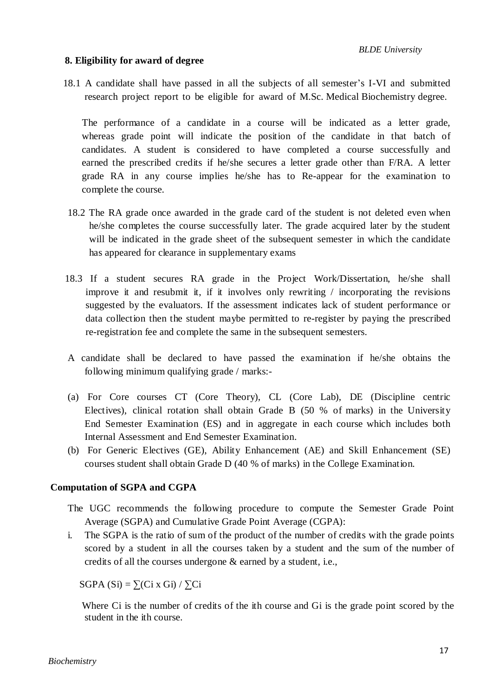#### **8. Eligibility for award of degree**

18.1 A candidate shall have passed in all the subjects of all semester's I-VI and submitted research project report to be eligible for award of M.Sc. Medical Biochemistry degree.

The performance of a candidate in a course will be indicated as a letter grade, whereas grade point will indicate the position of the candidate in that batch of candidates. A student is considered to have completed a course successfully and earned the prescribed credits if he/she secures a letter grade other than F/RA. A letter grade RA in any course implies he/she has to Re-appear for the examination to complete the course.

- 18.2 The RA grade once awarded in the grade card of the student is not deleted even when he/she completes the course successfully later. The grade acquired later by the student will be indicated in the grade sheet of the subsequent semester in which the candidate has appeared for clearance in supplementary exams
- 18.3 If a student secures RA grade in the Project Work/Dissertation, he/she shall improve it and resubmit it, if it involves only rewriting / incorporating the revisions suggested by the evaluators. If the assessment indicates lack of student performance or data collection then the student maybe permitted to re-register by paying the prescribed re-registration fee and complete the same in the subsequent semesters.
- A candidate shall be declared to have passed the examination if he/she obtains the following minimum qualifying grade / marks:-
- (a) For Core courses CT (Core Theory), CL (Core Lab), DE (Discipline centric Electives), clinical rotation shall obtain Grade B (50 % of marks) in the University End Semester Examination (ES) and in aggregate in each course which includes both Internal Assessment and End Semester Examination.
- (b) For Generic Electives (GE), Ability Enhancement (AE) and Skill Enhancement (SE) courses student shall obtain Grade D (40 % of marks) in the College Examination.

#### **Computation of SGPA and CGPA**

- The UGC recommends the following procedure to compute the Semester Grade Point Average (SGPA) and Cumulative Grade Point Average (CGPA):
- i. The SGPA is the ratio of sum of the product of the number of credits with the grade points scored by a student in all the courses taken by a student and the sum of the number of credits of all the courses undergone & earned by a student, i.e.,

SGPA  $(Si) = \sum (Ci \times Gi) / \sum Ci$ 

Where Ci is the number of credits of the ith course and Gi is the grade point scored by the student in the ith course.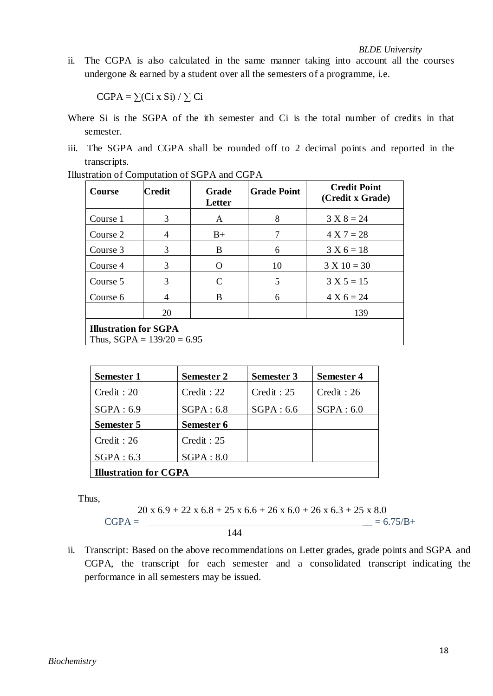ii. The CGPA is also calculated in the same manner taking into account all the courses undergone & earned by a student over all the semesters of a programme, i.e.

 $CGPA = \sum (Ci \times Si) / \sum Ci$ 

- Where Si is the SGPA of the ith semester and Ci is the total number of credits in that semester.
- iii. The SGPA and CGPA shall be rounded off to 2 decimal points and reported in the transcripts.

| Course                                                       | Credit | Grade<br>Letter | <b>Grade Point</b> | <b>Credit Point</b><br>(Credit x Grade) |  |
|--------------------------------------------------------------|--------|-----------------|--------------------|-----------------------------------------|--|
| Course 1                                                     | 3      | A               | 8                  | $3 X 8 = 24$                            |  |
| Course 2                                                     | 4      | $B+$            | 7                  | $4 X 7 = 28$                            |  |
| Course 3                                                     | 3      | B               | 6                  | $3 X 6 = 18$                            |  |
| Course 4                                                     | 3      | O               | 10                 | $3 X 10 = 30$                           |  |
| Course 5                                                     | 3      | C               | 5                  | $3 X 5 = 15$                            |  |
| Course 6                                                     | 4      | B               | 6                  | $4 X 6 = 24$                            |  |
|                                                              | 20     |                 |                    | 139                                     |  |
| <b>Illustration for SGPA</b><br>Thus, $SGPA = 139/20 = 6.95$ |        |                 |                    |                                         |  |

| <b>Semester 1</b>            | <b>Semester 2</b> | <b>Semester 3</b> | <b>Semester 4</b> |  |
|------------------------------|-------------------|-------------------|-------------------|--|
| Credit: 20                   | Credit : 22       | Credit : 25       | Credit : 26       |  |
| SGPA: 6.9                    | SGPA: 6.8         | SGPA: 6.6         | SGPA: 6.0         |  |
| Semester 5                   | Semester 6        |                   |                   |  |
| Credit : 26                  | Credit : 25       |                   |                   |  |
| SGPA: 6.3                    | SGPA: 8.0         |                   |                   |  |
| <b>Illustration for CGPA</b> |                   |                   |                   |  |

Thus,

$$
CGPA = \frac{20 \times 6.9 + 22 \times 6.8 + 25 \times 6.6 + 26 \times 6.0 + 26 \times 6.3 + 25 \times 8.0}{144} = 6.75/B +
$$

ii. Transcript: Based on the above recommendations on Letter grades, grade points and SGPA and CGPA, the transcript for each semester and a consolidated transcript indicating the performance in all semesters may be issued.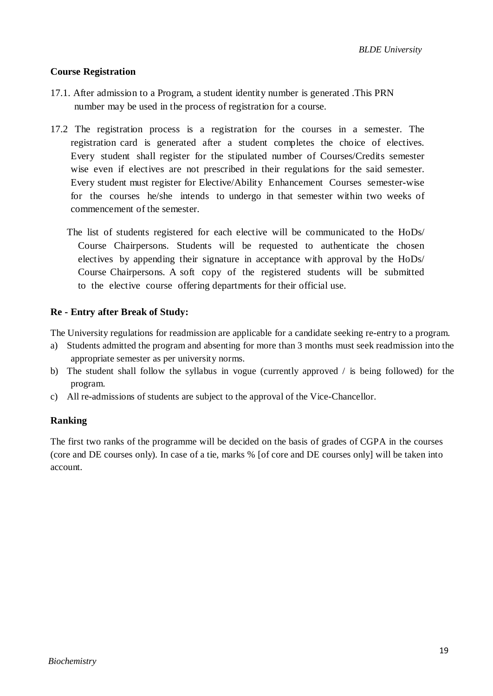#### **Course Registration**

- 17.1. After admission to a Program, a student identity number is generated .This PRN number may be used in the process of registration for a course.
- 17.2 The registration process is a registration for the courses in a semester. The registration card is generated after a student completes the choice of electives. Every student shall register for the stipulated number of Courses/Credits semester wise even if electives are not prescribed in their regulations for the said semester. Every student must register for Elective/Ability Enhancement Courses semester-wise for the courses he/she intends to undergo in that semester within two weeks of commencement of the semester.
	- The list of students registered for each elective will be communicated to the HoDs/ Course Chairpersons. Students will be requested to authenticate the chosen electives by appending their signature in acceptance with approval by the HoDs/ Course Chairpersons. A soft copy of the registered students will be submitted to the elective course offering departments for their official use.

#### **Re - Entry after Break of Study:**

The University regulations for readmission are applicable for a candidate seeking re-entry to a program.

- a) Students admitted the program and absenting for more than 3 months must seek readmission into the appropriate semester as per university norms.
- b) The student shall follow the syllabus in vogue (currently approved / is being followed) for the program.
- c) All re-admissions of students are subject to the approval of the Vice-Chancellor.

#### **Ranking**

The first two ranks of the programme will be decided on the basis of grades of CGPA in the courses (core and DE courses only). In case of a tie, marks % [of core and DE courses only] will be taken into account.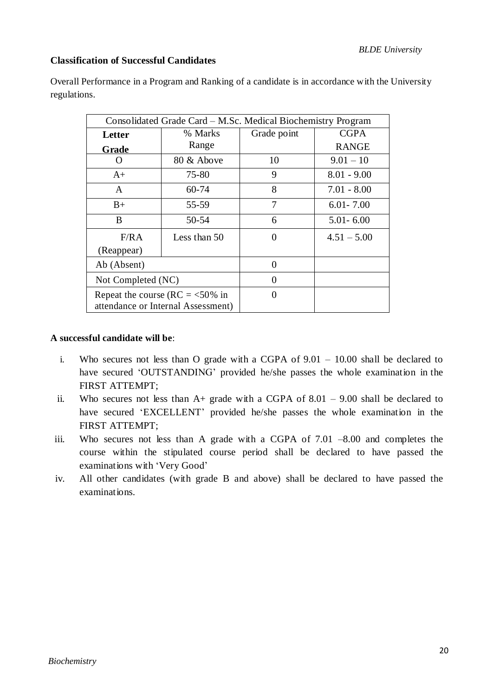#### **Classification of Successful Candidates**

Overall Performance in a Program and Ranking of a candidate is in accordance with the University regulations.

| Consolidated Grade Card – M.Sc. Medical Biochemistry Program |                                                                          |             |               |  |  |
|--------------------------------------------------------------|--------------------------------------------------------------------------|-------------|---------------|--|--|
| Letter                                                       | % Marks                                                                  | Grade point | <b>CGPA</b>   |  |  |
| Grade                                                        | Range                                                                    |             | <b>RANGE</b>  |  |  |
|                                                              | 80 & Above                                                               | 10          | $9.01 - 10$   |  |  |
| $A+$                                                         | 75-80                                                                    | 9           | $8.01 - 9.00$ |  |  |
| A                                                            | 60-74                                                                    | 8           | $7.01 - 8.00$ |  |  |
| $B+$                                                         | 55-59                                                                    | 7           | $6.01 - 7.00$ |  |  |
| B                                                            | 50-54                                                                    | 6           | $5.01 - 6.00$ |  |  |
| F/RA                                                         | Less than 50                                                             | 0           | $4.51 - 5.00$ |  |  |
| (Reappear)                                                   |                                                                          |             |               |  |  |
| Ab (Absent)                                                  |                                                                          | 0           |               |  |  |
| Not Completed (NC)                                           |                                                                          | 0           |               |  |  |
|                                                              | Repeat the course (RC = $<$ 50% in<br>attendance or Internal Assessment) |             |               |  |  |

#### **A successful candidate will be**:

- i. Who secures not less than O grade with a CGPA of 9.01 10.00 shall be declared to have secured 'OUTSTANDING' provided he/she passes the whole examination in the FIRST ATTEMPT;
- ii. Who secures not less than A+ grade with a CGPA of 8.01 9.00 shall be declared to have secured 'EXCELLENT' provided he/she passes the whole examination in the FIRST ATTEMPT;
- iii. Who secures not less than A grade with a CGPA of 7.01 –8.00 and completes the course within the stipulated course period shall be declared to have passed the examinations with 'Very Good'
- iv. All other candidates (with grade B and above) shall be declared to have passed the examinations.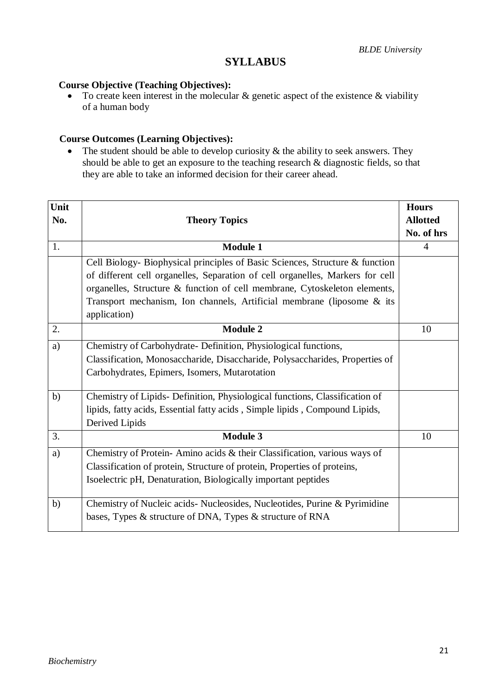## **SYLLABUS**

#### **Course Objective (Teaching Objectives):**

To create keen interest in the molecular  $\&$  genetic aspect of the existence  $\&$  viability of a human body

#### **Course Outcomes (Learning Objectives):**

• The student should be able to develop curiosity  $\&$  the ability to seek answers. They should be able to get an exposure to the teaching research & diagnostic fields, so that they are able to take an informed decision for their career ahead.

| Unit<br>No. | <b>Theory Topics</b>                                                          | <b>Hours</b><br><b>Allotted</b> |
|-------------|-------------------------------------------------------------------------------|---------------------------------|
|             |                                                                               | No. of hrs                      |
| 1.          | <b>Module 1</b>                                                               | $\overline{4}$                  |
|             | Cell Biology- Biophysical principles of Basic Sciences, Structure & function  |                                 |
|             | of different cell organelles, Separation of cell organelles, Markers for cell |                                 |
|             | organelles, Structure & function of cell membrane, Cytoskeleton elements,     |                                 |
|             | Transport mechanism, Ion channels, Artificial membrane (liposome & its        |                                 |
|             | application)                                                                  |                                 |
| 2.          | <b>Module 2</b>                                                               | 10                              |
| a)          | Chemistry of Carbohydrate- Definition, Physiological functions,               |                                 |
|             | Classification, Monosaccharide, Disaccharide, Polysaccharides, Properties of  |                                 |
|             | Carbohydrates, Epimers, Isomers, Mutarotation                                 |                                 |
| b)          | Chemistry of Lipids- Definition, Physiological functions, Classification of   |                                 |
|             | lipids, fatty acids, Essential fatty acids, Simple lipids, Compound Lipids,   |                                 |
|             | Derived Lipids                                                                |                                 |
| 3.          | <b>Module 3</b>                                                               | 10                              |
| a)          | Chemistry of Protein- Amino acids & their Classification, various ways of     |                                 |
|             | Classification of protein, Structure of protein, Properties of proteins,      |                                 |
|             | Isoelectric pH, Denaturation, Biologically important peptides                 |                                 |
| b)          | Chemistry of Nucleic acids- Nucleosides, Nucleotides, Purine & Pyrimidine     |                                 |
|             | bases, Types & structure of DNA, Types & structure of RNA                     |                                 |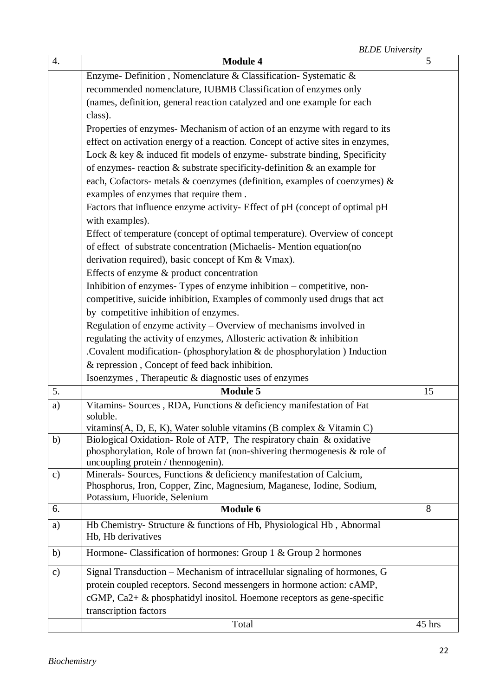|               | Enzyme- Definition, Nomenclature & Classification- Systematic &                                                    |    |
|---------------|--------------------------------------------------------------------------------------------------------------------|----|
|               | recommended nomenclature, IUBMB Classification of enzymes only                                                     |    |
|               |                                                                                                                    |    |
|               | (names, definition, general reaction catalyzed and one example for each<br>class).                                 |    |
|               | Properties of enzymes- Mechanism of action of an enzyme with regard to its                                         |    |
|               |                                                                                                                    |    |
|               | effect on activation energy of a reaction. Concept of active sites in enzymes,                                     |    |
|               | Lock & key & induced fit models of enzyme- substrate binding, Specificity                                          |    |
|               | of enzymes- reaction $\&$ substrate specificity-definition $\&$ an example for                                     |    |
|               | each, Cofactors- metals & coenzymes (definition, examples of coenzymes) &                                          |    |
|               | examples of enzymes that require them.                                                                             |    |
|               | Factors that influence enzyme activity- Effect of pH (concept of optimal pH                                        |    |
|               | with examples).                                                                                                    |    |
|               | Effect of temperature (concept of optimal temperature). Overview of concept                                        |    |
|               | of effect of substrate concentration (Michaelis- Mention equation(no                                               |    |
|               | derivation required), basic concept of Km & Vmax).                                                                 |    |
|               | Effects of enzyme & product concentration                                                                          |    |
|               | Inhibition of enzymes- Types of enzyme inhibition - competitive, non-                                              |    |
|               | competitive, suicide inhibition, Examples of commonly used drugs that act                                          |    |
|               | by competitive inhibition of enzymes.                                                                              |    |
|               | Regulation of enzyme activity $-$ Overview of mechanisms involved in                                               |    |
|               | regulating the activity of enzymes, Allosteric activation & inhibition                                             |    |
|               | . Covalent modification- (phosphorylation $\&$ de phosphorylation ) Induction                                      |    |
|               | & repression, Concept of feed back inhibition.                                                                     |    |
|               | Isoenzymes, Therapeutic & diagnostic uses of enzymes                                                               |    |
| 5.            | <b>Module 5</b>                                                                                                    | 15 |
| a)            | Vitamins- Sources, RDA, Functions & deficiency manifestation of Fat                                                |    |
|               | soluble.                                                                                                           |    |
|               | vitamins(A, D, E, K), Water soluble vitamins (B complex & Vitamin C)                                               |    |
| b)            | Biological Oxidation-Role of ATP, The respiratory chain & oxidative                                                |    |
|               | phosphorylation, Role of brown fat (non-shivering thermogenesis $\&$ role of<br>uncoupling protein / thennogenin). |    |
| $\mathbf{c})$ | Minerals- Sources, Functions & deficiency manifestation of Calcium,                                                |    |
|               | Phosphorus, Iron, Copper, Zinc, Magnesium, Maganese, Iodine, Sodium,                                               |    |
|               | Potassium, Fluoride, Selenium                                                                                      |    |
| 6.            | Module 6                                                                                                           | 8  |
| a)            | Hb Chemistry- Structure & functions of Hb, Physiological Hb, Abnormal                                              |    |
|               | Hb, Hb derivatives                                                                                                 |    |
| b)            | Hormone- Classification of hormones: Group 1 & Group 2 hormones                                                    |    |
| $\circ$ )     | Signal Transduction - Mechanism of intracellular signaling of hormones, G                                          |    |
|               | protein coupled receptors. Second messengers in hormone action: cAMP,                                              |    |
|               | cGMP, $Ca2+$ & phosphatidyl inositol. Hoemone receptors as gene-specific                                           |    |
|               | transcription factors                                                                                              |    |

Total 45 hrs

*BLDE University* 4. **Module 4** 5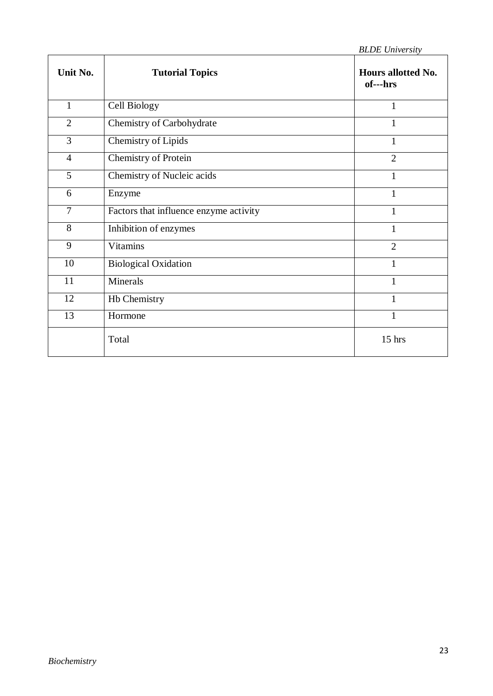| Unit No.       | <b>Tutorial Topics</b>                 | Hours allotted No.<br>of---hrs |
|----------------|----------------------------------------|--------------------------------|
| $\mathbf{1}$   | Cell Biology                           | 1                              |
| $\overline{2}$ | Chemistry of Carbohydrate              | 1                              |
| 3              | <b>Chemistry of Lipids</b>             | 1                              |
| $\overline{4}$ | <b>Chemistry of Protein</b>            | $\overline{2}$                 |
| 5              | Chemistry of Nucleic acids             | $\mathbf{1}$                   |
| 6              | Enzyme                                 | 1                              |
| $\overline{7}$ | Factors that influence enzyme activity | 1                              |
| 8              | Inhibition of enzymes                  | 1                              |
| 9              | <b>Vitamins</b>                        | $\overline{2}$                 |
| 10             | <b>Biological Oxidation</b>            | $\mathbf{1}$                   |
| 11             | Minerals                               | 1                              |
| 12             | Hb Chemistry                           | 1                              |
| 13             | Hormone                                | 1                              |
|                | Total                                  | $15$ hrs                       |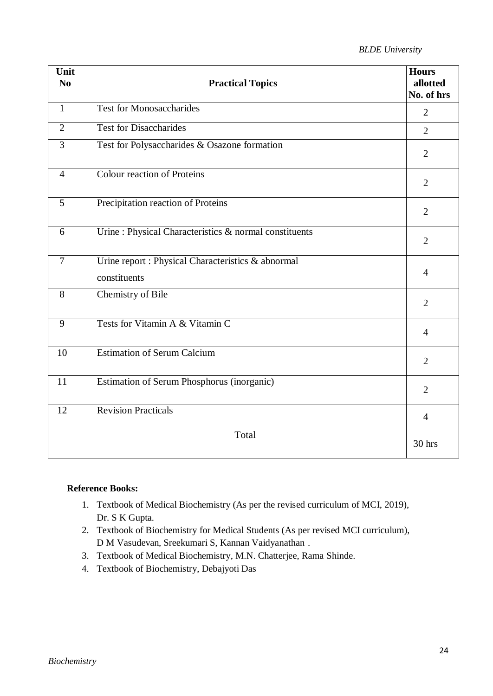| Unit<br>N <sub>0</sub> | <b>Practical Topics</b>                                            | <b>Hours</b><br>allotted<br>No. of hrs |
|------------------------|--------------------------------------------------------------------|----------------------------------------|
| $\mathbf{1}$           | <b>Test for Monosaccharides</b>                                    | $\overline{2}$                         |
| $\overline{2}$         | <b>Test for Disaccharides</b>                                      | $\overline{2}$                         |
| 3                      | Test for Polysaccharides & Osazone formation                       | $\overline{2}$                         |
| $\overline{4}$         | <b>Colour reaction of Proteins</b>                                 | $\overline{2}$                         |
| 5                      | Precipitation reaction of Proteins                                 | $\overline{2}$                         |
| 6                      | Urine : Physical Characteristics & normal constituents             | $\overline{2}$                         |
| $\overline{7}$         | Urine report : Physical Characteristics & abnormal<br>constituents | $\overline{4}$                         |
| 8                      | <b>Chemistry of Bile</b>                                           | $\overline{2}$                         |
| 9                      | Tests for Vitamin A & Vitamin C                                    | $\overline{4}$                         |
| 10                     | <b>Estimation of Serum Calcium</b>                                 | $\overline{2}$                         |
| 11                     | Estimation of Serum Phosphorus (inorganic)                         | $\overline{2}$                         |
| 12                     | <b>Revision Practicals</b>                                         | $\overline{4}$                         |
|                        | Total                                                              | 30 hrs                                 |

## **Reference Books:**

- 1. Textbook of Medical Biochemistry (As per the revised curriculum of MCI, 2019), Dr. S K Gupta.
- 2. Textbook of Biochemistry for Medical Students (As per revised MCI curriculum), D M Vasudevan, Sreekumari S, Kannan Vaidyanathan .
- 3. Textbook of Medical Biochemistry, M.N. Chatterjee, Rama Shinde.
- 4. Textbook of Biochemistry, Debajyoti Das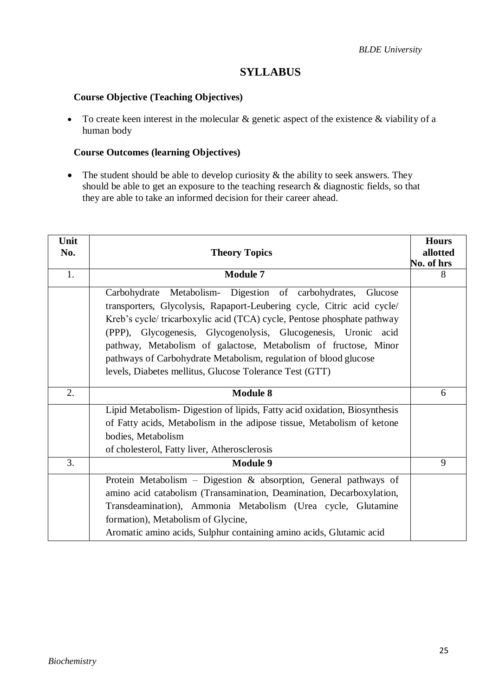## **SYLLABUS**

## **Course Objective (Teaching Objectives)**

• To create keen interest in the molecular & genetic aspect of the existence & viability of a human body

## **Course Outcomes (learning Objectives)**

• The student should be able to develop curiosity  $\&$  the ability to seek answers. They should be able to get an exposure to the teaching research & diagnostic fields, so that they are able to take an informed decision for their career ahead.

| Unit<br>No. | <b>Theory Topics</b>                                                                                                                                                                                                                                                                                                                                                                                                                                                                    | <b>Hours</b><br>allotted<br>No. of hrs |
|-------------|-----------------------------------------------------------------------------------------------------------------------------------------------------------------------------------------------------------------------------------------------------------------------------------------------------------------------------------------------------------------------------------------------------------------------------------------------------------------------------------------|----------------------------------------|
| 1.          | <b>Module 7</b>                                                                                                                                                                                                                                                                                                                                                                                                                                                                         | 8                                      |
|             | Carbohydrate Metabolism- Digestion of carbohydrates,<br>Glucose<br>transporters, Glycolysis, Rapaport-Leubering cycle, Citric acid cycle/<br>Kreb's cycle/tricarboxylic acid (TCA) cycle, Pentose phosphate pathway<br>(PPP), Glycogenesis, Glycogenolysis, Glucogenesis, Uronic acid<br>pathway, Metabolism of galactose, Metabolism of fructose, Minor<br>pathways of Carbohydrate Metabolism, regulation of blood glucose<br>levels, Diabetes mellitus, Glucose Tolerance Test (GTT) |                                        |
| 2.          | <b>Module 8</b>                                                                                                                                                                                                                                                                                                                                                                                                                                                                         | 6                                      |
|             | Lipid Metabolism- Digestion of lipids, Fatty acid oxidation, Biosynthesis<br>of Fatty acids, Metabolism in the adipose tissue, Metabolism of ketone<br>bodies, Metabolism<br>of cholesterol, Fatty liver, Atherosclerosis                                                                                                                                                                                                                                                               |                                        |
| 3.          | <b>Module 9</b>                                                                                                                                                                                                                                                                                                                                                                                                                                                                         | 9                                      |
|             | Protein Metabolism - Digestion & absorption, General pathways of<br>amino acid catabolism (Transamination, Deamination, Decarboxylation,<br>Transdeamination), Ammonia Metabolism (Urea cycle, Glutamine<br>formation), Metabolism of Glycine,<br>Aromatic amino acids, Sulphur containing amino acids, Glutamic acid                                                                                                                                                                   |                                        |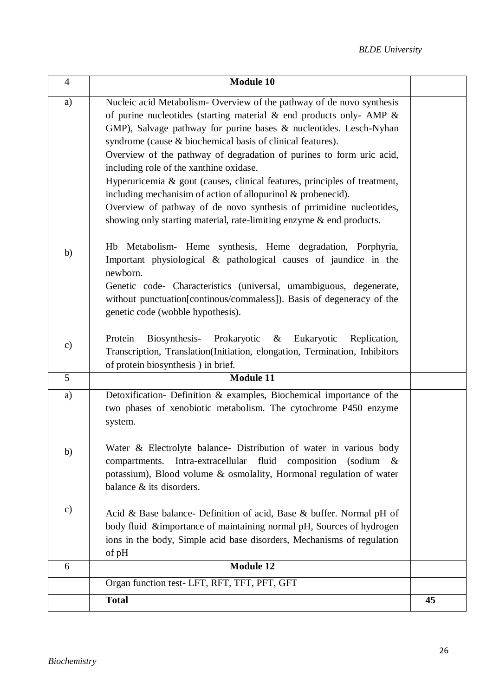| $\overline{4}$ | <b>Module 10</b>                                                                                                                                                                                                                                                                                                                                                                                        |    |
|----------------|---------------------------------------------------------------------------------------------------------------------------------------------------------------------------------------------------------------------------------------------------------------------------------------------------------------------------------------------------------------------------------------------------------|----|
| a)             | Nucleic acid Metabolism- Overview of the pathway of de novo synthesis<br>of purine nucleotides (starting material $\&$ end products only-AMP $\&$<br>GMP), Salvage pathway for purine bases & nucleotides. Lesch-Nyhan<br>syndrome (cause & biochemical basis of clinical features).<br>Overview of the pathway of degradation of purines to form uric acid,<br>including role of the xanthine oxidase. |    |
|                | Hyperuricemia & gout (causes, clinical features, principles of treatment,<br>including mechanisim of action of allopurinol & probenecid).<br>Overview of pathway of de novo synthesis of prrimidine nucleotides,<br>showing only starting material, rate-limiting enzyme & end products.                                                                                                                |    |
| b)             | Hb Metabolism- Heme synthesis, Heme degradation, Porphyria,<br>Important physiological & pathological causes of jaundice in the<br>newborn.<br>Genetic code- Characteristics (universal, umambiguous, degenerate,<br>without punctuation[continous/commaless]). Basis of degeneracy of the<br>genetic code (wobble hypothesis).                                                                         |    |
| $\mathbf{c})$  | Protein<br>Biosynthesis-<br>Prokaryotic<br>Eukaryotic<br>$\&$<br>Replication,<br>Transcription, Translation(Initiation, elongation, Termination, Inhibitors<br>of protein biosynthesis) in brief.                                                                                                                                                                                                       |    |
| 5              | <b>Module 11</b>                                                                                                                                                                                                                                                                                                                                                                                        |    |
| a)             | Detoxification- Definition & examples, Biochemical importance of the<br>two phases of xenobiotic metabolism. The cytochrome P450 enzyme<br>system.                                                                                                                                                                                                                                                      |    |
| b)             | Water & Electrolyte balance- Distribution of water in various body<br>fluid composition<br>Intra-extracellular<br>(sodium $\&$<br>compartments.<br>potassium), Blood volume & osmolality, Hormonal regulation of water<br>balance $\&$ its disorders.                                                                                                                                                   |    |
| $\mathbf{c})$  | Acid & Base balance- Definition of acid, Base & buffer. Normal pH of<br>body fluid &importance of maintaining normal pH, Sources of hydrogen<br>ions in the body, Simple acid base disorders, Mechanisms of regulation<br>of pH                                                                                                                                                                         |    |
| 6              | <b>Module 12</b>                                                                                                                                                                                                                                                                                                                                                                                        |    |
|                | Organ function test- LFT, RFT, TFT, PFT, GFT                                                                                                                                                                                                                                                                                                                                                            |    |
|                | <b>Total</b>                                                                                                                                                                                                                                                                                                                                                                                            | 45 |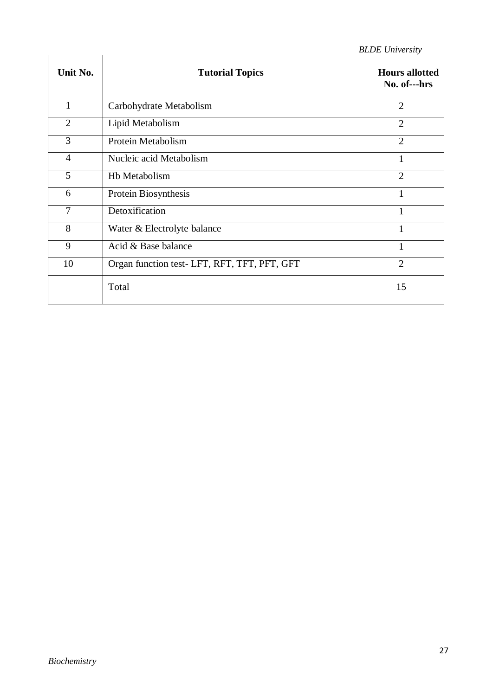|                |                                              | <b>BLDE</b> University                |
|----------------|----------------------------------------------|---------------------------------------|
| Unit No.       | <b>Tutorial Topics</b>                       | <b>Hours allotted</b><br>No. of---hrs |
| 1              | Carbohydrate Metabolism                      | $\overline{2}$                        |
| $\overline{2}$ | Lipid Metabolism                             | $\overline{2}$                        |
| 3              | Protein Metabolism                           | $\overline{2}$                        |
| $\overline{4}$ | Nucleic acid Metabolism                      | $\mathbf{1}$                          |
| 5              | <b>Hb Metabolism</b>                         | $\overline{2}$                        |
| 6              | Protein Biosynthesis                         | $\mathbf{1}$                          |
| $\overline{7}$ | Detoxification                               | $\mathbf{1}$                          |
| 8              | Water & Electrolyte balance                  | 1                                     |
| 9              | Acid & Base balance                          | $\mathbf{1}$                          |
| 10             | Organ function test- LFT, RFT, TFT, PFT, GFT | $\overline{2}$                        |
|                | Total                                        | 15                                    |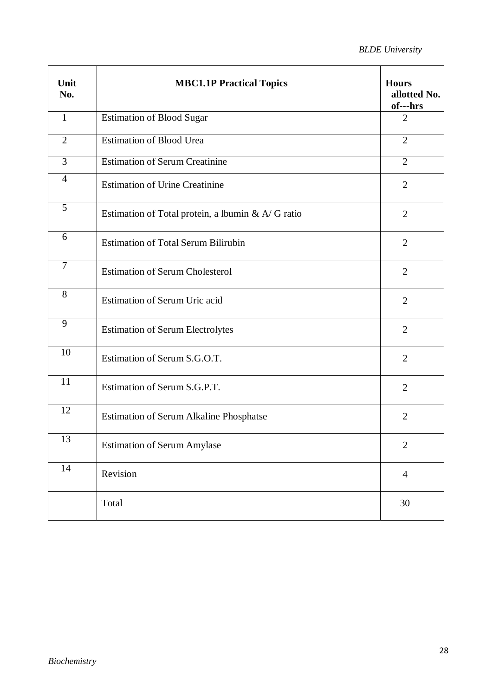| Unit<br>No.    | <b>MBC1.1P Practical Topics</b>                    | <b>Hours</b><br>allotted No.<br>of---hrs |
|----------------|----------------------------------------------------|------------------------------------------|
| $\mathbf{1}$   | <b>Estimation of Blood Sugar</b>                   | $\overline{2}$                           |
| $\overline{2}$ | <b>Estimation of Blood Urea</b>                    | $\overline{2}$                           |
| $\overline{3}$ | <b>Estimation of Serum Creatinine</b>              | $\overline{2}$                           |
| $\overline{4}$ | <b>Estimation of Urine Creatinine</b>              | $\overline{2}$                           |
| 5              | Estimation of Total protein, a lbumin & A/ G ratio | $\overline{2}$                           |
| 6              | <b>Estimation of Total Serum Bilirubin</b>         | $\overline{2}$                           |
| $\overline{7}$ | <b>Estimation of Serum Cholesterol</b>             | $\overline{2}$                           |
| 8              | Estimation of Serum Uric acid                      | $\overline{2}$                           |
| 9              | <b>Estimation of Serum Electrolytes</b>            | $\overline{2}$                           |
| 10             | Estimation of Serum S.G.O.T.                       | $\overline{2}$                           |
| 11             | Estimation of Serum S.G.P.T.                       | $\overline{2}$                           |
| 12             | <b>Estimation of Serum Alkaline Phosphatse</b>     | $\overline{2}$                           |
| 13             | <b>Estimation of Serum Amylase</b>                 | $\mathbf{2}$                             |
| 14             | Revision                                           | $\overline{4}$                           |
|                | Total                                              | 30                                       |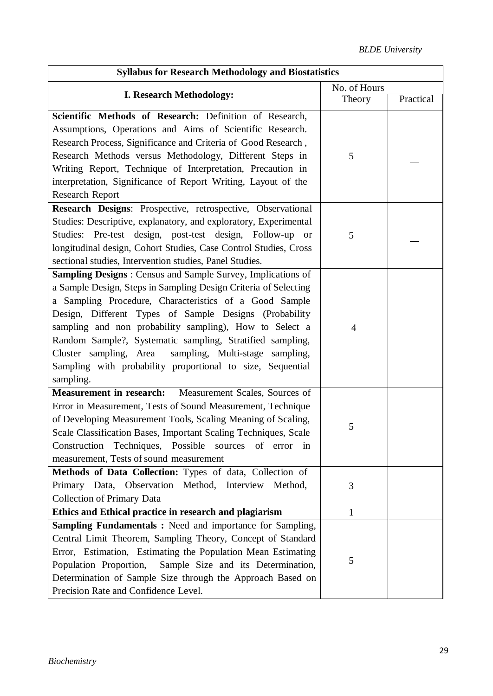| <b>Syllabus for Research Methodology and Biostatistics</b>                                                                                                                                                                                                                                                                                                                                                                                                                                                                |                |           |  |
|---------------------------------------------------------------------------------------------------------------------------------------------------------------------------------------------------------------------------------------------------------------------------------------------------------------------------------------------------------------------------------------------------------------------------------------------------------------------------------------------------------------------------|----------------|-----------|--|
|                                                                                                                                                                                                                                                                                                                                                                                                                                                                                                                           | No. of Hours   |           |  |
| <b>I. Research Methodology:</b>                                                                                                                                                                                                                                                                                                                                                                                                                                                                                           | Theory         | Practical |  |
| Scientific Methods of Research: Definition of Research,<br>Assumptions, Operations and Aims of Scientific Research.<br>Research Process, Significance and Criteria of Good Research,<br>Research Methods versus Methodology, Different Steps in<br>Writing Report, Technique of Interpretation, Precaution in<br>interpretation, Significance of Report Writing, Layout of the                                                                                                                                            | 5              |           |  |
| <b>Research Report</b>                                                                                                                                                                                                                                                                                                                                                                                                                                                                                                    |                |           |  |
| Research Designs: Prospective, retrospective, Observational<br>Studies: Descriptive, explanatory, and exploratory, Experimental<br>Studies: Pre-test design, post-test design, Follow-up<br>or<br>longitudinal design, Cohort Studies, Case Control Studies, Cross<br>sectional studies, Intervention studies, Panel Studies.                                                                                                                                                                                             | 5              |           |  |
| <b>Sampling Designs:</b> Census and Sample Survey, Implications of<br>a Sample Design, Steps in Sampling Design Criteria of Selecting<br>a Sampling Procedure, Characteristics of a Good Sample<br>Design, Different Types of Sample Designs (Probability<br>sampling and non probability sampling), How to Select a<br>Random Sample?, Systematic sampling, Stratified sampling,<br>Cluster sampling, Area<br>sampling, Multi-stage sampling,<br>Sampling with probability proportional to size, Sequential<br>sampling. | $\overline{4}$ |           |  |
| Measurement Scales, Sources of<br><b>Measurement in research:</b><br>Error in Measurement, Tests of Sound Measurement, Technique<br>of Developing Measurement Tools, Scaling Meaning of Scaling,<br>Scale Classification Bases, Important Scaling Techniques, Scale<br>Construction Techniques, Possible sources of error in<br>measurement, Tests of sound measurement                                                                                                                                                   | 5              |           |  |
| Methods of Data Collection: Types of data, Collection of<br>Primary Data, Observation Method, Interview Method,<br><b>Collection of Primary Data</b>                                                                                                                                                                                                                                                                                                                                                                      | 3              |           |  |
| Ethics and Ethical practice in research and plagiarism                                                                                                                                                                                                                                                                                                                                                                                                                                                                    | 1              |           |  |
| Sampling Fundamentals: Need and importance for Sampling,<br>Central Limit Theorem, Sampling Theory, Concept of Standard<br>Error, Estimation, Estimating the Population Mean Estimating<br>Population Proportion,<br>Sample Size and its Determination,<br>Determination of Sample Size through the Approach Based on<br>Precision Rate and Confidence Level.                                                                                                                                                             | 5              |           |  |